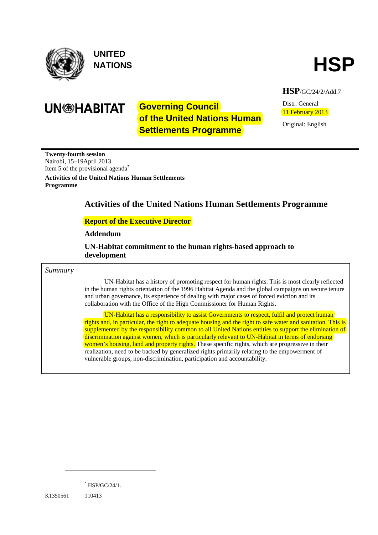

**UNITED** 



**HSP**/GC/24/2/Add.7

**UN<sup>®</sup>HABITAT** 

# **Governing Council of the United Nations Human Settlements Programme**

Distr. General 11 February 2013

Original: English

**Twenty-fourth session**  Nairobi, 15–19April 2013 Item 5 of the provisional agenda**\***

**Activities of the United Nations Human Settlements Programme** 

# **Activities of the United Nations Human Settlements Programme**

### **Report of the Executive Director**

### **Addendum**

 **UN-Habitat commitment to the human rights-based approach to development** 

#### *Summary*

UN-Habitat has a history of promoting respect for human rights. This is most clearly reflected in the human rights orientation of the 1996 Habitat Agenda and the global campaigns on secure tenure and urban governance, its experience of dealing with major cases of forced eviction and its collaboration with the Office of the High Commissioner for Human Rights.

UN-Habitat has a responsibility to assist Governments to respect, fulfil and protect human rights and, in particular, the right to adequate housing and the right to safe water and sanitation. This is supplemented by the responsibility common to all United Nations entities to support the elimination of discrimination against women, which is particularly relevant to UN-Habitat in terms of endorsing women's housing, land and property rights. These specific rights, which are progressive in their realization, need to be backed by generalized rights primarily relating to the empowerment of vulnerable groups, non-discrimination, participation and accountability.

\* HSP/GC/24/1.

K1350561 110413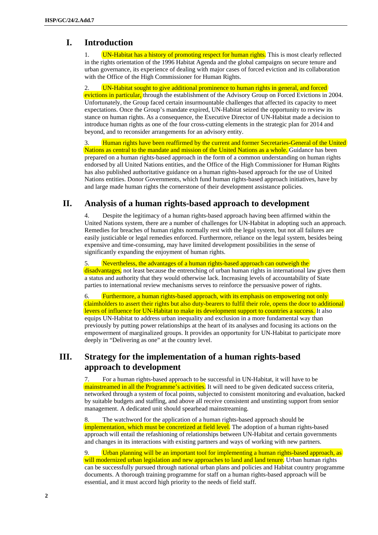## **I. Introduction**

1. UN-Habitat has a history of promoting respect for human rights. This is most clearly reflected in the rights orientation of the 1996 Habitat Agenda and the global campaigns on secure tenure and urban governance, its experience of dealing with major cases of forced eviction and its collaboration with the Office of the High Commissioner for Human Rights.

2. UN-Habitat sought to give additional prominence to human rights in general, and forced evictions in particular, through the establishment of the Advisory Group on Forced Evictions in 2004. Unfortunately, the Group faced certain insurmountable challenges that affected its capacity to meet expectations. Once the Group's mandate expired, UN-Habitat seized the opportunity to review its stance on human rights. As a consequence, the Executive Director of UN-Habitat made a decision to introduce human rights as one of the four cross-cutting elements in the strategic plan for 2014 and beyond, and to reconsider arrangements for an advisory entity.

3. Human rights have been reaffirmed by the current and former Secretaries-General of the United Nations as central to the mandate and mission of the United Nations as a whole. Guidance has been prepared on a human rights-based approach in the form of a common understanding on human rights endorsed by all United Nations entities, and the Office of the High Commissioner for Human Rights has also published authoritative guidance on a human rights-based approach for the use of United Nations entities. Donor Governments, which fund human rights-based approach initiatives, have by and large made human rights the cornerstone of their development assistance policies.

# **II. Analysis of a human rights-based approach to development**

Despite the legitimacy of a human rights-based approach having been affirmed within the United Nations system, there are a number of challenges for UN-Habitat in adopting such an approach. Remedies for breaches of human rights normally rest with the legal system, but not all failures are easily justiciable or legal remedies enforced. Furthermore, reliance on the legal system, besides being expensive and time-consuming, may have limited development possibilities in the sense of significantly expanding the enjoyment of human rights.

5. Nevertheless, the advantages of a human rights-based approach can outweigh the disadvantages, not least because the entrenching of urban human rights in international law gives them a status and authority that they would otherwise lack. Increasing levels of accountability of State parties to international review mechanisms serves to reinforce the persuasive power of rights.

6. Furthermore, a human rights-based approach, with its emphasis on empowering not only claimholders to assert their rights but also duty-bearers to fulfil their role, opens the door to additional levers of influence for UN-Habitat to make its development support to countries a success. It also equips UN-Habitat to address urban inequality and exclusion in a more fundamental way than previously by putting power relationships at the heart of its analyses and focusing its actions on the empowerment of marginalized groups. It provides an opportunity for UN-Habitat to participate more deeply in "Delivering as one" at the country level.

# **III. Strategy for the implementation of a human rights-based approach to development**

7. For a human rights-based approach to be successful in UN-Habitat, it will have to be mainstreamed in all the Programme's activities. It will need to be given dedicated success criteria, networked through a system of focal points, subjected to consistent monitoring and evaluation, backed by suitable budgets and staffing, and above all receive consistent and unstinting support from senior management. A dedicated unit should spearhead mainstreaming.

8. The watchword for the application of a human rights-based approach should be implementation, which must be concretized at field level. The adoption of a human rights-based approach will entail the refashioning of relationships between UN-Habitat and certain governments and changes in its interactions with existing partners and ways of working with new partners.

9. Urban planning will be an important tool for implementing a human rights-based approach, as will modernized urban legislation and new approaches to land and land tenure. Urban human rights can be successfully pursued through national urban plans and policies and Habitat country programme documents. A thorough training programme for staff on a human rights-based approach will be essential, and it must accord high priority to the needs of field staff.